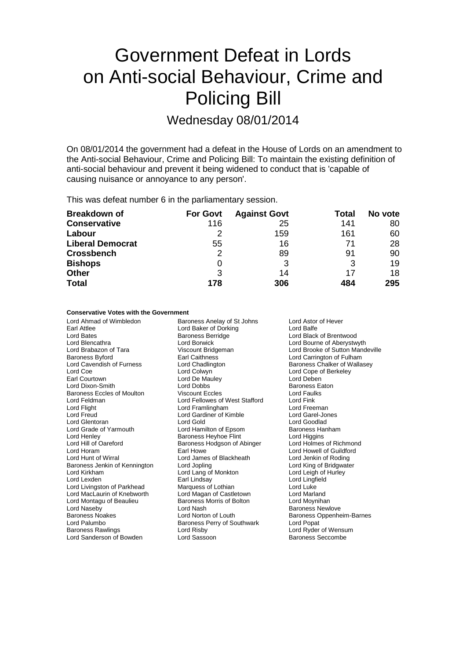# Government Defeat in Lords on Anti-social Behaviour, Crime and Policing Bill

Wednesday 08/01/2014

On 08/01/2014 the government had a defeat in the House of Lords on an amendment to the Anti-social Behaviour, Crime and Policing Bill: To maintain the existing definition of anti-social behaviour and prevent it being widened to conduct that is 'capable of causing nuisance or annoyance to any person'.

This was defeat number 6 in the parliamentary session.

| <b>Breakdown of</b>     | <b>For Govt</b> | <b>Against Govt</b> | Total | No vote |
|-------------------------|-----------------|---------------------|-------|---------|
| <b>Conservative</b>     | 116             | 25                  | 141   | 80      |
| Labour                  |                 | 159                 | 161   | 60      |
| <b>Liberal Democrat</b> | 55              | 16                  | 71    | 28      |
| <b>Crossbench</b>       | 2               | 89                  | 91    | 90      |
| <b>Bishops</b>          | O               |                     | 3     | 19      |
| <b>Other</b>            | 3               | 14                  | 17    | 18      |
| <b>Total</b>            | 178             | 306                 | 484   | 295     |

#### **Conservative Votes with the Government**

Earl Attlee Lord Baker of Dorking<br>
Lord Bates<br>
Baroness Berridge Lord Bates **Baroness Berridge** Exercise Cord Black of Brentwood<br>
Lord Bencathra **Baroness Berridge** Exercise Lord Bourne of Aberystw Lord Blencathra **Lord Borwick Lord Borwick** Lord Bourne of Aberystwyth<br>
Lord Brabazon of Tara **Lord Brooke** Of Sutton Mand Baroness Byford **Earl Caithness** Earl Caithness Lord Carrington of Fulham<br>
Lord Cavendish of Furness **Lord Chadlington** Baroness Chalker of Walla Lord Cavendish of Furness Lord Chadlington Changes Chalker of Wallasey<br>
Lord Coe Cord Colwyn Lord Colwyn Lord Cope of Berkeley Lord Coe Lord Colwyn Collection Collection Collection Collection Collection Collection Lord Cope of Berkeley<br>
Lord De Mauley Lord Collection Lord Deben Lord Dixon-Smith Lord Dobbs Lord Dobbs Baroness Eaton<br>
Baroness Eccles of Moulton Viscount Eccles Lord Faulks Baroness Eccles of Moulton Viscount Eccles (Viscount Eccles Lord Faul<br>
Lord Feldman Cord Fellowes of West Stafford Lord Fink Lord Feldman Lord Fellowes of West Stafford Lord Fink Lord Flight Lord Framlingham Lord Freeman Lord Glentoran **Lord Cold Lord Goodland**<br>
Lord Grade of Yarmouth Lord Hamilton of Epsom **Baroness Hanham** Lord Henley **Baroness Heyhoe Flint** Lord Higgins Lord Higgins<br>
Lord Hill of Oareford **Baroness Hodgson of Abinger** Lord Holmes of Richmond Lord Hill of Oareford Baroness Hodgson of Abinger<br>
Lord Horam Barones Carl Howe Lord Hunt of Wirral **Lord James of Blackheath** Lord Jenkin of Roding<br>
Baroness Jenkin of Kennington Lord Jopling **Lord Lord King of Bridgwater** Baroness Jenkin of Kennington Lord Jopling Cord King of Bridgwa<br>
Lord King of Bridgwater Lord Lang of Monkton Lord Leigh of Hurley Lord Kirkham **Lord Lang of Monkton Lord Lang of Monkton**<br>
Lord Lexden **Lord Lang Constructs** Lord Livingston of Parkhead Marquess of Lothian Cord Luke<br>
Lord MacLaurin of Knebworth Lord Magan of Castletown Lord Marland Lord MacLaurin of Knebworth Lord Magan of Castletown Lord Marland Lord Montagu of Beaulieu Baroness Morris of Bolton<br>
Lord Naseby<br>
Lord Nash Baroness Noakes **Lord Norton of Louth** Baroness Oppenheim-Barnes Lord Palumbo **Baroness Perry of Southwark** Lord Popat<br>Baroness Rawlings **Baroness Perry Control Control** Lord Ryder Lord Sanderson of Bowden

Lord Ahmad of Wimbledon Baroness Anelay of St Johns Lord Astor of Hever<br>
Lord Barl Attlee Lord Baker of Dorking Lord Balfe Lord De Mauley Lord Gardiner of Kimble Lord Garel-Jones Lord Garel-Jones Lord Garel-Jones Lord Garel-Jones Lord Garel-Jones Lord Garel-Jones Lord Garel-Jones Lord Garel-Jones Lord Garel-Jones Lord Garel-Jones Lord Garel-Jones Lord Garel-Lord Hamilton of Epsom Earl Howe **Lord Howell of Guildford**<br>
Lord James of Blackheath **Lord Jenkin of Roding** Earl Lindsay Lord Lingfield<br>
Marquess of Lothian Lord Luke Lord Risby **Lord Ryder of Wensum**<br>Lord Sassoon **Raylings Rawlings Recomple** 

Lord Brooke of Sutton Mandeville Baroness Newlove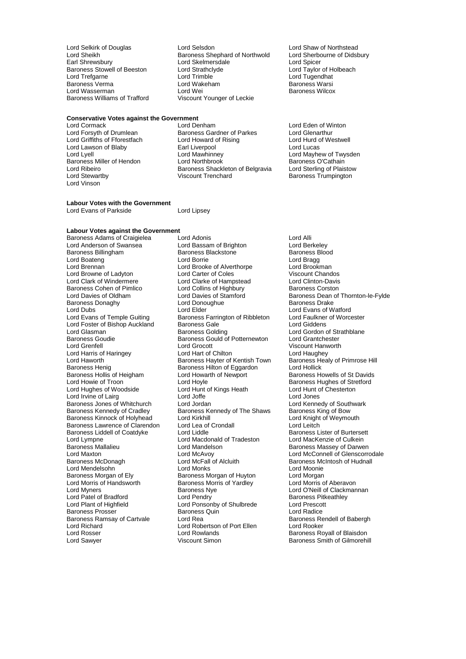Baroness Stowell of Beeston Lord Strathcl<br>
Lord Trefgarne Lord Trimble Baroness Verma Lord Wakeham Baroness Verma<br>Lord Wasserman Baroness Lord Wei

# **Conservative Votes against the Government<br>Lord Cormack Lord Denham**

Lord Forsyth of Drumlean Baroness Gardner of Parkes Lord Glenarthur<br>
Lord Griffiths of Fforestfach Lord Howard of Rising Lord Hurd of Westwell Lord Griffiths of Fforestfach Lord Howard of Rising Lord Hurd of Lord Hurd of Rising Lord Hurd of Rising Lord Hurd o<br>Lord Lawson of Blaby Lord Lucas Lord Lucas Lord Lawson of Blaby **Earl Liverpool**<br>
Lord Lvell **Lord Mawhinnev** Baroness Miller of Hendon Lord Northbrook Baroness O'Cathain<br>
Lord Ribeiro Cathain Baroness Shackleton of Belgravia Lord Sterling of Plaistow Lord Ribeiro **Baroness Shackleton of Belgravia**<br>
Lord Stewartby **Baroness Shackleton of Belgravia**<br>
Viscount Trenchard Lord Vinson

Lord Selkirk of Douglas Lord Selsdon Lord Shaw of Northstead Lord Sheikh  $\overline{\phantom{a}}$  Baroness Shephard of Northwold Lord Sherbourne Carl Sherbourne of Didsbury Cord Sherbourne of Didsbury Cord Sherbourne Cord Sherbourne of Didsbury Cord Sherbourne Cord Sherbourne Cord Sherbourne Cor Lord Skelmersdale<br>
Lord Strathclyde **Lord Taylor of Holbeach**<br>
Lord Strathclyde **Lord Taylor** of Holbeach Lord Trimble **Lord Trimble Lord Tugendhat**<br>
Lord Wakeham **Lord Trimble Lord Trimble Lord Wakeham** Lord Wasserman **Lord Wei Lord Wei** Baroness Wilcox<br>
Baroness Williams of Trafford Viscount Younger of Leckie **Baroness Williams** of Trafford Viscount Younger of Leckie

Lord Denham<br>
Baroness Gardner of Parkes
Lord Glenarthur
Lord Communisty Carloss Lord Mawhinney **Lord Mayhew of Twysden**<br>
Lord Northbrook **Discuss**<br>
Baroness O'Cathain Baroness Trumpington

#### **Labour Votes with the Government** Lord Evans of Parkside Lord Lipsey

#### **Labour Votes against the Government**

Baroness Cohen of Pimlico Lord Collins of Highbury<br>
Lord Davies of Oldham<br>
Lord Davies of Stamford Baroness Donaghy Lord Donoughue Baroness Donaghy<br>
Lord Dubs<br>
Lord Elder Lord Foster of Bishop Auckland Baroness Gale<br>
Lord Glasman baroness Golding Baroness Goudie Baroness Gould of Potternewton Lord Grantchester Baroness Henig Baroness Hilton of Eggardon<br>Baroness Hollis of Heigham Lord Howarth of Newport Lord Irvine of Lairg Lord Lympne Lord Macdonald of Tradeston<br>
Baroness Mallalieu<br>
Lord Mandelson Lord Morris of Handsworth Baroness Morris of Yardley<br>
Lord Myners Corp Baroness Nye Lord Rosser The Lord Rowlands Corresponding the Baroness Royall of Blaisdon<br>
Lord Sawyer Corresponding Viscount Simon<br>
Lord Sawyer Corresponding Viscount Simon<br>
Lord Sawyer Corresponding Viscount Simon

Baroness Adams of Craigielea Lord Adonis<br>
Lord Anderson of Swansea Lord Bassam of Brighton Lord Berkeley Lord Anderson of Swansea Lord Bassam of Brighton Lord Berkeley Baroness Blackstone Baroness B<br>
Lord Borrie Baroness Blood Bragg Lord Boateng Lord Borrie Lord Bragg Lord Brooke of Alverthorpe Lord Brookman<br>
Lord Carter of Coles 
Viscount Chandos Lord Browne of Ladyton Lord Carter of Coles<br>
Lord Clark of Windermere Lord Clarke of Hampstead Lord Clinton-Davis Lord Clarke of Hampstead Lord Clinton-Davis<br>
Lord Collins of Highbury Baroness Corston Lord Dubs<br>
Lord Evans of Temple Guiting Lord Elder<br>
Lord Evans of Temple Guiting Baroness Farrington of Ribbleton Lord Faulkner of Worcester Baroness Farrington of Ribbleton Lord Faulkner<br>Baroness Gale Corp. Lord Giddens Lord Glasman **Example Strathblane**<br>Baroness Goudie **Baroness Gould of Potternewton** Lord Grantchester Lord Grocott<br>
Lord Hart of Chilton<br>
Lord Haughey Lord Harris of Haringey **Lord Hart of Chilton** Lord Haughey Lord Haughey<br>Lord Haworth Lord Hauworth Lord Haughey Baroness Hayter of Kentish Town Baroness Healy of Primrose Hill Lord Haworth **Baroness Hayter of Kentish Town** Baroness Health Baroness Health Baroness Health Baroness Hilton of Equation Cord Hollick Baroness Hollis of Heigham Lord Howarth of Newport Baroness Howells of St Davids<br>
Lord Howie of Troon Lord Hoyle Cord Howell Baroness Hughes of Stretford Lord Hoyle<br>
Lord Hunt of Kings Heath<br>
Lord Hunt of Chesterton Lord Hughes of Woodside Lord Hunt of Kings Heath Lord Hunt of Lair and Hunt of Chester Lord Jones<br>
Lord Joffe Lord Jones Baroness Jones of Whitchurch Lord Jordan Lord Southwark<br>
Baroness Kennedy of Cradley Baroness Kennedy of The Shaws Baroness King of Bow Baroness Kennedy of The Shaws Baroness King of Bow<br>
Lord Kirkhill Baroness King of Weymouth Baroness Kinnock of Holyhead Lord Kirkhill Lord Knight Lord Knight Cord Knight Cord Knight Cord Leitch Cord Leitch Cord Leitch Cord Leitch Cord Leitch Cord Leitch Cord Leitch Cord Leitch Cord Leitch Cord Leitch Cord Leitch Baroness Lawrence of Clarendon Lord Lea of Crondall Lord Leitch<br>
Baroness Liddell of Coatdyke Lord Liddle Lord Anness Lister of Burtersett Baroness Liddell of Coatdyke Lord Liddle Lord Coatdyke Lord Coatdyke Lord Macdonald of Tradeston Lord MacKenzie of Culkein Lord McFall of Alcluith Baroness McIntosh of Hudnall<br>
Lord Monks<br>
Lord Moonie Lord Mendelsohn (Editor Cord Monks)<br>
Lord Monie Cord Monie Cord Monie Baroness Morgan of Huyton (Editor Cord Morgan Baroness Morgan of Ely **Baroness Morgan of Huyton** Lord Morgan<br>
Lord Morris of Handsworth Baroness Morris of Yardley Lord Morris of Aberavon **Baroness Nye Lord O'Neill of Clackmannan**<br>
Lord Pendry **Communist Clackmannan**<br>
Baroness Pitkeathley Lord Patel of Bradford Lord Pendry Cord Patel of Bradford Cord Pendry Cord Pendry Baroness Pitk<br>
Lord Plant of Highfield Lord Ponsonby of Shulbrede Lord Prescott Lord Ponsonby of Shulbrede Lord Prescot<br>
Baroness Quin<br>
Lord Radice Baroness Prosser Baroness Quin Lord Radice Baroness Ramsay of Cartvale Lord Rea Baroness Rendell Baroness Rendell Archaeology<br>
Lord Richard Lord Rooker Lord Babertson of Port Filen Lord Rooker Lord Robertson of Port Ellen

Lord Davies of Stamford<br>
Lord Davies of Stamford<br>
Baroness Drake<br>
Baroness Drake Baroness Massey of Darwen Lord Maxton Lord McAvoy Lord McAvoy Lord McConnell of Glenscorrodale<br>
Baroness McDonagh Cord McFall of Alcluith Baroness McIntosh of Hudnall Baroness Smith of Gilmorehill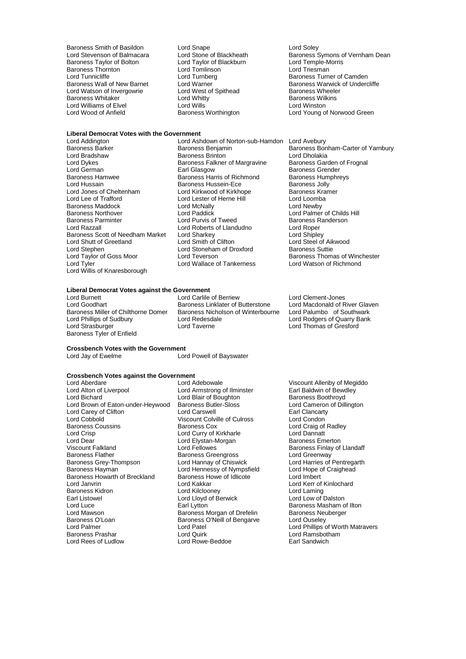Baroness Smith of Basildon Lord Snape Cord Soley<br>
Lord Stevenson of Balmacara Lord Stone of Blackheath Charoness S Baroness Taylor of Bolton **Lord Taylor of Blackburn** Cord Temple-Morris Lord Temple-Morris Lord Temple-Morris Lord Triesman Baroness Thornton and Lord Tomlinson<br>
Lord Tunnicliffe and Lord Turnberg Lord Tunnicliffe Lord Turnberg Communication Camden<br>Baroness Wall of New Barnet Lord Warner Communication Communication Communication Baroness Warwick of Under Lord Watson of Invergowrie **Lord West of Spithead** Baroness Wheele<br>Baroness Whitaker **Conserver Lord Whitty Baroness Wilkins** Baroness Whitaker **Example 2** Lord Whitty Corresponding the Baroness Will<br>
Lord Williams of Elvel **Baroness Williams** Lord Williams Corresponding Lord Winston Lord Williams of Elvel **Lord Wills**<br>
Lord Wood of Anfield **Lord Baroness Worthington** 

# **Liberal Democrat Votes with the Government**

Lord Dykes Baroness Falkner of Margravine Baroness Garden of Frognal Examples Maddock Lord McNally Baroness Northover Lord McNally Lord Paddick Lord Stephen Lord Stoneham of Droxford<br>
Lord Taylor of Goss Moor Lord Teverson Lord Willis of Knaresborough

Lord Addington Lord Ashdown of Norton-sub-Hamdon Lord Avebury Baroness Barker Barconess Benjamin Baroness Barconess Bonham-Carter of Yarnbury<br>
Baroness Barker Barconess Brinton Baroness Brinton Lord Dholakia Lord Bradshaw Baroness Brinton Lord Dholakia Lord German **Earl Glasgow** Earl Glasgow Baroness Grender<br>
Baroness Hamwee Baroness Harris of Richmond Baroness Humphreys Baroness Hamwee **Baroness Harris of Richmond** Baroness Hum<br> **Baroness Humphreys** Baroness Hussein-Ece Baroness Jolly Lord Hussain **Baroness Hussein-Ece** Baroness Jolly<br>
Lord Annes of Cheltenham **Baroness Hussein-Ece** Baroness Kramer Lord Jones of Cheltenham Lord Kirkwood of Kirkhope Baroness Kramer Lord Lester of Herne Hill Lord Loomba<br>Lord McNally Lord Newby Baroness Northover **Lord Paddick** Lord Paddick Lord Palmer of Childs Hill<br>Baroness Parminter **Lord Purvis of Tweed** Baroness Randerson Baroness Parminter **Baroness Randers Constructs** Lord Purvis of Tweed Baroness R<br>
Lord Razzall **Baroness Randers** Lord Roberts of Llandudno **Baroness R** Lord Roberts of Llandudno Lord Roper<br>
Lord Sharkey 
Lord Shipley Baroness Scott of Needham Market Lord Sharkey Lord Sharkey Lord Shipley<br>
Lord Shutt of Greetland Lord Smith of Clifton Lord Steel of Aikwood Lord Shutt of Greetland Lord Smith of Clifton Lord Steel of Aik<br>Lord Steel of Aik<br>Lord Stoneham of Droxford Baroness Suttie Lord Taylor of Goss Moor Lord Teverson Corporation Baroness Thomas of Winchester<br>Lord Tyler Lord Wallace of Tankerness Lord Watson of Richmond Lord Wallace of Tankerness

Lord Stone of Blackheath Baroness Symons of Vernham Dean<br>
Lord Tavlor of Blackburn Lord Temple-Morris Lord Warner Theory of New Baroness Warwick of Undercliffe<br>
Lord West of Spithead
Baroness Wheeler Lord Young of Norwood Green

#### **Liberal Democrat Votes against the Government**

Baroness Tyler of Enfield

Lord Burnett **Lord Carlile of Berriew** Lord Clement-Jones<br>
Lord Goodhart **Lord Carlile Corporation**<br>
Lord Goodhart **Containery Corporation**<br>
Lord Macdonald of River Glaven Lord Goodhart **Baroness Linklater of Butterstone** Lord Macdonald of River Glaven Baroness Miller of Chilthorne Domer Baroness Nicholson of Winterbourne Lord Palumbo of Southwark Baroness Miller of Chilthorne Domer Baroness Nicholson of Winterbourne<br>
Lord Phillips of Sudbury Lord Redesdale Lord Phillips of Sudbury Lord Redesdale Lord Rodgers of Quarry Bank Lord Strasburger Lord Taverne Lord Thomas of Gresford

#### **Crossbench Votes with the Government**

Lord Powell of Bayswater

# **Crossbench Votes against the Government**

Lord Alton of Liverpool Lord Armstrong of Ilminster Farl Baldwin of Bewe<br>Lord Bichard Lord Blair of Boughton Baroness Boothroyd Lord Brown of Eaton-under-Heywood Baroness Butler-Sloss **Lord Cameron**<br>
Lord Carey of Clifton **Lord Carswell** Cancarty **Cancer** Lord Carey of Clifton **Lord Carswell** Carswell Earl Clancarty<br>
Lord Cobbold **College College College College Culross** Lord Condon Lord Cobbold **Viscount Colville of Culross**<br>
Baroness Coussins<br>
Baroness Cox Baroness Coussins **Baroness Cox** Lord Craig of Radley<br>
Lord Crisp<br>
Lord Curry of Kirkharle<br>
Lord Community Corporation Lord Dear Lord Elystan-Morgan<br>
Viscount Falkland<br>
Lord Fellowes Viscount Falkland **Viscount Falkland** Lord Fellowes **Baroness Finlay of Llandaff**<br>Baroness Flather Baroness Greengross **Baroness** Lord Greenway Baroness Grey-Thompson Lord Hannay of Chiswick Lord Harries of Pentregarthompson Lord Hannay of Chiswick Lord Hope of Craighead Baroness Howarth of Breckland Baroness Howe of Breckland Baroness Howe of Indian Baroness Howevert Lord Kakkar Lord Janvrin Lord Kakkar Lord Kerr of Kinlochard Baroness Kidron Lord Kilclooney Lord Laming Earl Listowel **Earl Lord Lloyd of Berwick**<br>
Lord Luce **Lord Lord Lord Lord Lord Luce** Lord Luce **Carl Lytton** Earl Lytton **Example 2** Baroness Masham of Ilton Lord Masham of Ilton Baroness Meuberger Lord Mawson **Baroness Morgan of Drefelin** Baroness Neuberger Baroness Neubergergerger Baroness Neubergergergerger<br>Baroness O'Loan Baroness O'Neill of Bengarve Lord Ouseley Baroness O'Loan Baroness O'Neill of Bengarve<br>
Lord Palmer<br>
Lord Patel Lord Palmer Lord Patel Lord Patel Lord Politics of Worth Matravers<br>
Baroness Prashar Lord Quirk Lord Cuirk Lord Ramsbotham

Lord Aberdare **Lord Adebowale** Viscount Allenby of Megiddo<br>
Lord Alton of Liverpool **Lord Armstrong of Ilminster** Earl Baldwin of Bewdley Lord Blair of Boughton<br>
Baroness Butler-Sloss
Boothroyd
Baroness Butler-Sloss
Boothroyd
Lord Cameron of Dillington Lord Curry of Kirkharle **Lord Dannatt**<br>
Lord Elystan-Morgan **Communist Baroness Emerton** Baroness Greengross **Election Control Creental Lord Greenway**<br>
Lord Hannay of Chiswick **Lord Harries of Pentregarth** Lord Hennessy of Nympsfield Lord Hope c<br>Baroness Howe of Idlicote **Lord Imbert** Lord Quirk<br>
Lord Rowe-Beddoe **Baroness Prash Lord Ramsbotham**<br>
Earl Sandwich Lord Rees of Ludlow **Lord Rowe-Beddoe Earl Sandwich**